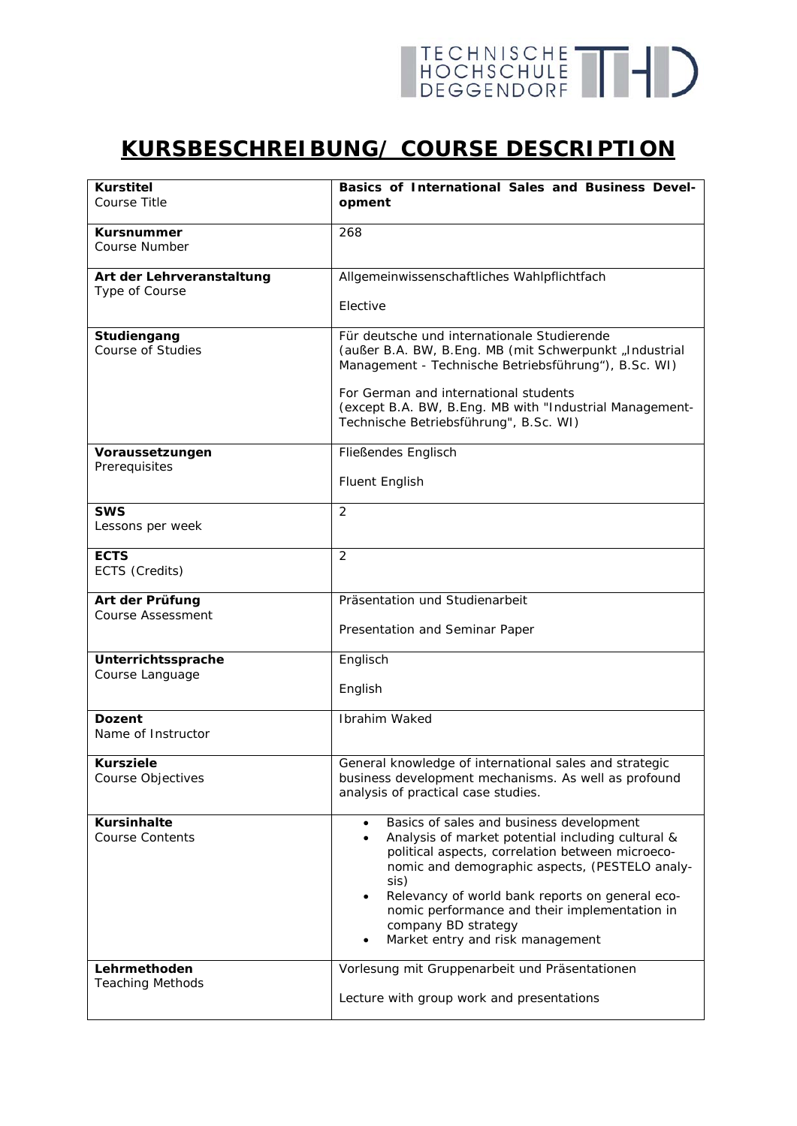## TECHNISCHE THID

## **KURSBESCHREIBUNG/ COURSE DESCRIPTION**

| <b>Kurstitel</b><br>Course Title             | Basics of International Sales and Business Devel-<br>opment                                                                                                                                                                                                                                                                                                                             |
|----------------------------------------------|-----------------------------------------------------------------------------------------------------------------------------------------------------------------------------------------------------------------------------------------------------------------------------------------------------------------------------------------------------------------------------------------|
|                                              |                                                                                                                                                                                                                                                                                                                                                                                         |
| <b>Kursnummer</b><br>Course Number           | 268                                                                                                                                                                                                                                                                                                                                                                                     |
| Art der Lehrveranstaltung<br>Type of Course  | Allgemeinwissenschaftliches Wahlpflichtfach                                                                                                                                                                                                                                                                                                                                             |
|                                              | Elective                                                                                                                                                                                                                                                                                                                                                                                |
| Studiengang<br><b>Course of Studies</b>      | Für deutsche und internationale Studierende<br>(außer B.A. BW, B.Eng. MB (mit Schwerpunkt "Industrial<br>Management - Technische Betriebsführung"), B.Sc. WI)                                                                                                                                                                                                                           |
|                                              | For German and international students<br>(except B.A. BW, B.Eng. MB with "Industrial Management-<br>Technische Betriebsführung", B.Sc. WI)                                                                                                                                                                                                                                              |
| Voraussetzungen<br>Prerequisites             | Fließendes Englisch                                                                                                                                                                                                                                                                                                                                                                     |
|                                              | <b>Fluent English</b>                                                                                                                                                                                                                                                                                                                                                                   |
| <b>SWS</b><br>Lessons per week               | 2                                                                                                                                                                                                                                                                                                                                                                                       |
| <b>ECTS</b><br>ECTS (Credits)                | $\overline{2}$                                                                                                                                                                                                                                                                                                                                                                          |
| Art der Prüfung<br><b>Course Assessment</b>  | Präsentation und Studienarbeit                                                                                                                                                                                                                                                                                                                                                          |
|                                              | Presentation and Seminar Paper                                                                                                                                                                                                                                                                                                                                                          |
| Unterrichtssprache<br>Course Language        | Englisch                                                                                                                                                                                                                                                                                                                                                                                |
|                                              | English                                                                                                                                                                                                                                                                                                                                                                                 |
| <b>Dozent</b><br>Name of Instructor          | Ibrahim Waked                                                                                                                                                                                                                                                                                                                                                                           |
| <b>Kursziele</b><br>Course Objectives        | General knowledge of international sales and strategic<br>business development mechanisms. As well as profound<br>analysis of practical case studies.                                                                                                                                                                                                                                   |
| <b>Kursinhalte</b><br><b>Course Contents</b> | Basics of sales and business development<br>$\bullet$<br>Analysis of market potential including cultural &<br>political aspects, correlation between microeco-<br>nomic and demographic aspects, (PESTELO analy-<br>sis)<br>Relevancy of world bank reports on general eco-<br>nomic performance and their implementation in<br>company BD strategy<br>Market entry and risk management |
| Lehrmethoden<br><b>Teaching Methods</b>      | Vorlesung mit Gruppenarbeit und Präsentationen<br>Lecture with group work and presentations                                                                                                                                                                                                                                                                                             |
|                                              |                                                                                                                                                                                                                                                                                                                                                                                         |